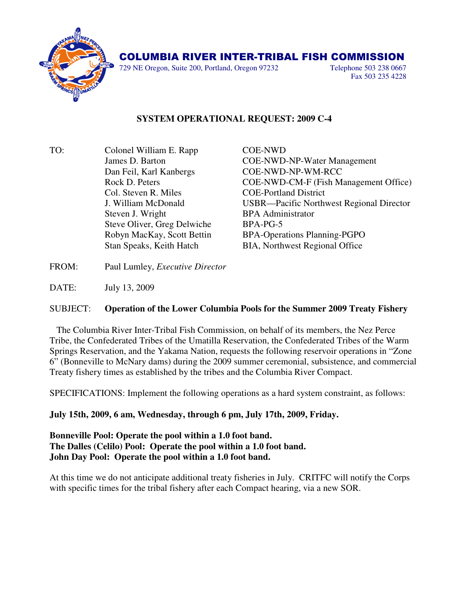

729 NE Oregon, Suite 200, Portland, Oregon 97232 Telephone 503 238 0667

Fax 503 235 4228

## **SYSTEM OPERATIONAL REQUEST: 2009 C-4**

TO: Colonel William E. Rapp COE-NWD Dan Feil, Karl Kanbergs COE-NWD-NP-WM-RCC Col. Steven R. Miles COE-Portland District Steven J. Wright BPA Administrator Steve Oliver, Greg Delwiche BPA-PG-5

 James D. Barton COE-NWD-NP-Water Management Rock D. Peters COE-NWD-CM-F (Fish Management Office) J. William McDonald USBR—Pacific Northwest Regional Director Robyn MacKay, Scott Bettin BPA-Operations Planning-PGPO Stan Speaks, Keith Hatch BIA, Northwest Regional Office

FROM: Paul Lumley, *Executive Director*

DATE: July 13, 2009

## SUBJECT: **Operation of the Lower Columbia Pools for the Summer 2009 Treaty Fishery**

 The Columbia River Inter-Tribal Fish Commission, on behalf of its members, the Nez Perce Tribe, the Confederated Tribes of the Umatilla Reservation, the Confederated Tribes of the Warm Springs Reservation, and the Yakama Nation, requests the following reservoir operations in "Zone 6" (Bonneville to McNary dams) during the 2009 summer ceremonial, subsistence, and commercial Treaty fishery times as established by the tribes and the Columbia River Compact.

SPECIFICATIONS: Implement the following operations as a hard system constraint, as follows:

**July 15th, 2009, 6 am, Wednesday, through 6 pm, July 17th, 2009, Friday.** 

**Bonneville Pool: Operate the pool within a 1.0 foot band. The Dalles (Celilo) Pool: Operate the pool within a 1.0 foot band. John Day Pool: Operate the pool within a 1.0 foot band.**

At this time we do not anticipate additional treaty fisheries in July. CRITFC will notify the Corps with specific times for the tribal fishery after each Compact hearing, via a new SOR.